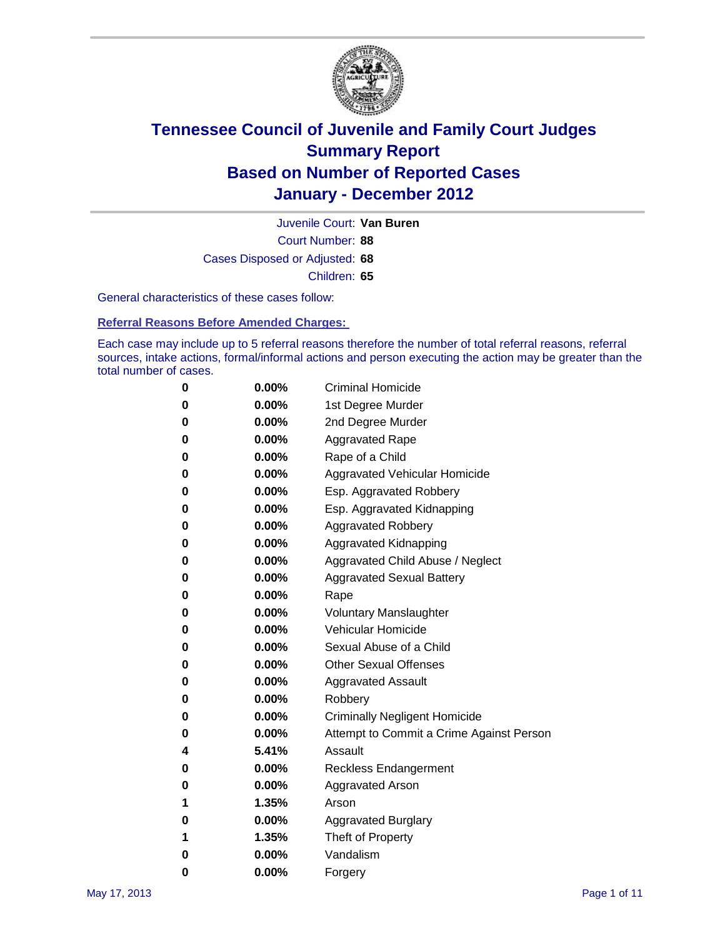

Court Number: **88** Juvenile Court: **Van Buren** Cases Disposed or Adjusted: **68** Children: **65**

General characteristics of these cases follow:

**Referral Reasons Before Amended Charges:** 

Each case may include up to 5 referral reasons therefore the number of total referral reasons, referral sources, intake actions, formal/informal actions and person executing the action may be greater than the total number of cases.

| 0 | $0.00\%$ | <b>Criminal Homicide</b>                 |
|---|----------|------------------------------------------|
| 0 | $0.00\%$ | 1st Degree Murder                        |
| 0 | $0.00\%$ | 2nd Degree Murder                        |
| 0 | $0.00\%$ | <b>Aggravated Rape</b>                   |
| 0 | $0.00\%$ | Rape of a Child                          |
| 0 | $0.00\%$ | Aggravated Vehicular Homicide            |
| 0 | $0.00\%$ | Esp. Aggravated Robbery                  |
| 0 | $0.00\%$ | Esp. Aggravated Kidnapping               |
| 0 | $0.00\%$ | <b>Aggravated Robbery</b>                |
| 0 | $0.00\%$ | Aggravated Kidnapping                    |
| 0 | $0.00\%$ | Aggravated Child Abuse / Neglect         |
| 0 | $0.00\%$ | <b>Aggravated Sexual Battery</b>         |
| 0 | 0.00%    | Rape                                     |
| 0 | $0.00\%$ | <b>Voluntary Manslaughter</b>            |
| 0 | $0.00\%$ | Vehicular Homicide                       |
| 0 | $0.00\%$ | Sexual Abuse of a Child                  |
| 0 | $0.00\%$ | <b>Other Sexual Offenses</b>             |
| 0 | $0.00\%$ | <b>Aggravated Assault</b>                |
| 0 | $0.00\%$ | Robbery                                  |
| 0 | $0.00\%$ | <b>Criminally Negligent Homicide</b>     |
| 0 | $0.00\%$ | Attempt to Commit a Crime Against Person |
| 4 | 5.41%    | Assault                                  |
| 0 | $0.00\%$ | <b>Reckless Endangerment</b>             |
| 0 | 0.00%    | <b>Aggravated Arson</b>                  |
| 1 | 1.35%    | Arson                                    |
| 0 | $0.00\%$ | <b>Aggravated Burglary</b>               |
| 1 | 1.35%    | Theft of Property                        |
| 0 | $0.00\%$ | Vandalism                                |
| 0 | $0.00\%$ | Forgery                                  |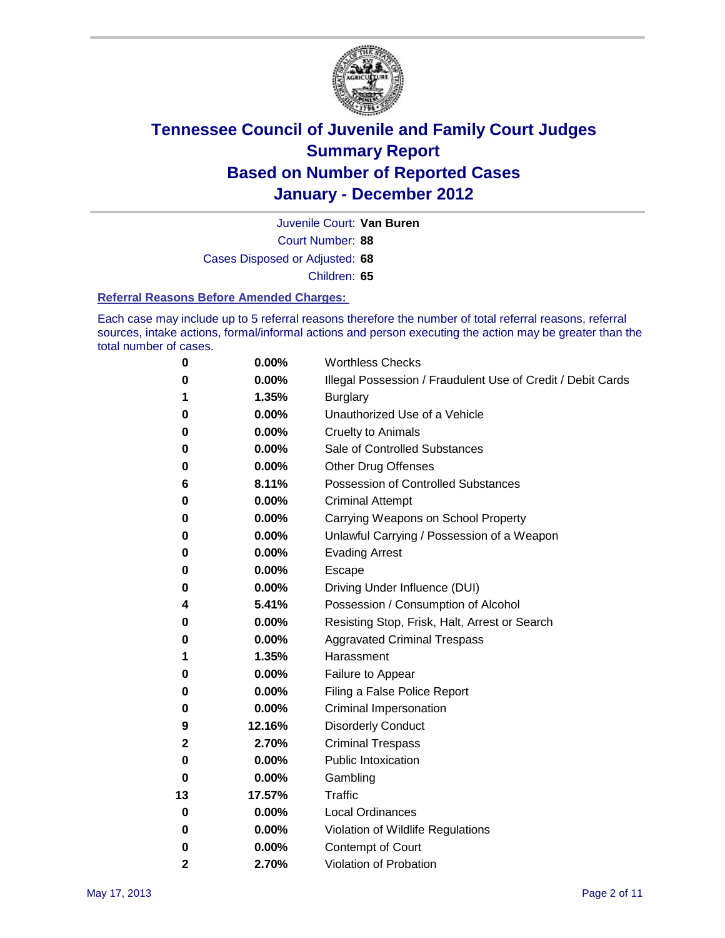

Court Number: **88** Juvenile Court: **Van Buren** Cases Disposed or Adjusted: **68** Children: **65**

#### **Referral Reasons Before Amended Charges:**

Each case may include up to 5 referral reasons therefore the number of total referral reasons, referral sources, intake actions, formal/informal actions and person executing the action may be greater than the total number of cases.

| 0            | 0.00%  | <b>Worthless Checks</b>                                     |
|--------------|--------|-------------------------------------------------------------|
| 0            | 0.00%  | Illegal Possession / Fraudulent Use of Credit / Debit Cards |
| 1            | 1.35%  | <b>Burglary</b>                                             |
| 0            | 0.00%  | Unauthorized Use of a Vehicle                               |
| 0            | 0.00%  | <b>Cruelty to Animals</b>                                   |
| 0            | 0.00%  | Sale of Controlled Substances                               |
| 0            | 0.00%  | <b>Other Drug Offenses</b>                                  |
| 6            | 8.11%  | <b>Possession of Controlled Substances</b>                  |
| 0            | 0.00%  | <b>Criminal Attempt</b>                                     |
| 0            | 0.00%  | Carrying Weapons on School Property                         |
| 0            | 0.00%  | Unlawful Carrying / Possession of a Weapon                  |
| 0            | 0.00%  | <b>Evading Arrest</b>                                       |
| 0            | 0.00%  | Escape                                                      |
| 0            | 0.00%  | Driving Under Influence (DUI)                               |
| 4            | 5.41%  | Possession / Consumption of Alcohol                         |
| 0            | 0.00%  | Resisting Stop, Frisk, Halt, Arrest or Search               |
| 0            | 0.00%  | <b>Aggravated Criminal Trespass</b>                         |
| 1            | 1.35%  | Harassment                                                  |
| 0            | 0.00%  | Failure to Appear                                           |
| 0            | 0.00%  | Filing a False Police Report                                |
| 0            | 0.00%  | Criminal Impersonation                                      |
| 9            | 12.16% | <b>Disorderly Conduct</b>                                   |
| 2            | 2.70%  | <b>Criminal Trespass</b>                                    |
| 0            | 0.00%  | <b>Public Intoxication</b>                                  |
| 0            | 0.00%  | Gambling                                                    |
| 13           | 17.57% | <b>Traffic</b>                                              |
| 0            | 0.00%  | <b>Local Ordinances</b>                                     |
| 0            | 0.00%  | Violation of Wildlife Regulations                           |
| 0            | 0.00%  | Contempt of Court                                           |
| $\mathbf{2}$ | 2.70%  | Violation of Probation                                      |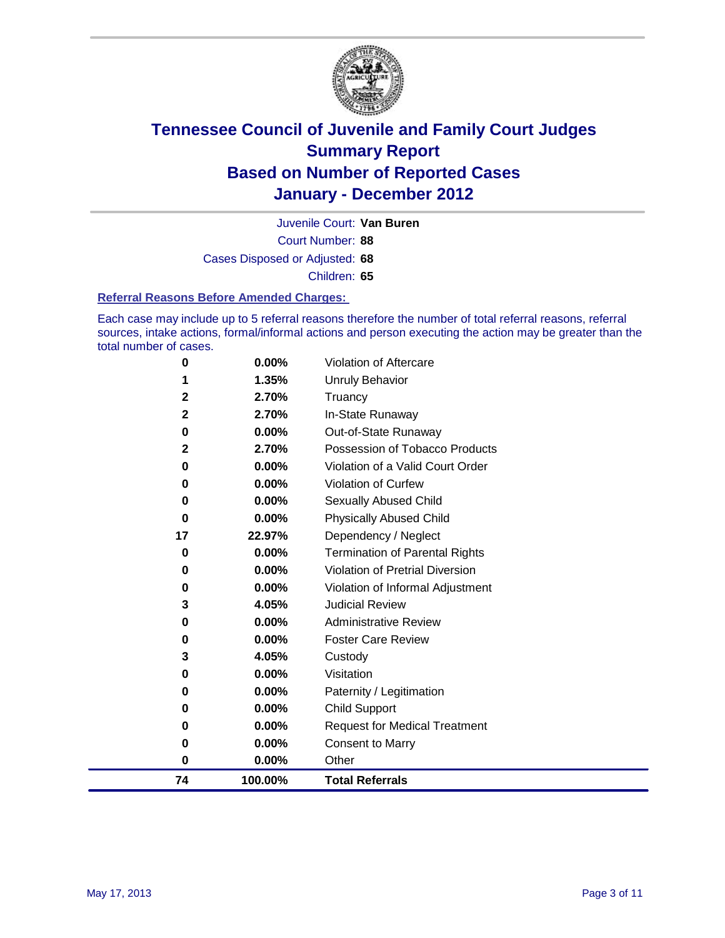

Court Number: **88** Juvenile Court: **Van Buren** Cases Disposed or Adjusted: **68** Children: **65**

#### **Referral Reasons Before Amended Charges:**

Each case may include up to 5 referral reasons therefore the number of total referral reasons, referral sources, intake actions, formal/informal actions and person executing the action may be greater than the total number of cases.

| 74           | 100.00% | <b>Total Referrals</b>                 |
|--------------|---------|----------------------------------------|
| 0            | 0.00%   | Other                                  |
| 0            | 0.00%   | <b>Consent to Marry</b>                |
| 0            | 0.00%   | <b>Request for Medical Treatment</b>   |
| 0            | 0.00%   | <b>Child Support</b>                   |
| 0            | 0.00%   | Paternity / Legitimation               |
| 0            | 0.00%   | Visitation                             |
| 3            | 4.05%   | Custody                                |
| 0            | 0.00%   | <b>Foster Care Review</b>              |
| 0            | 0.00%   | <b>Administrative Review</b>           |
| 3            | 4.05%   | <b>Judicial Review</b>                 |
| 0            | 0.00%   | Violation of Informal Adjustment       |
| 0            | 0.00%   | <b>Violation of Pretrial Diversion</b> |
| 0            | 0.00%   | Termination of Parental Rights         |
| 17           | 22.97%  | Dependency / Neglect                   |
| $\bf{0}$     | 0.00%   | <b>Physically Abused Child</b>         |
| 0            | 0.00%   | <b>Sexually Abused Child</b>           |
| 0            | 0.00%   | <b>Violation of Curfew</b>             |
| 0            | 0.00%   | Violation of a Valid Court Order       |
| 2            | 2.70%   | Possession of Tobacco Products         |
| 0            | 0.00%   | Out-of-State Runaway                   |
| $\mathbf{2}$ | 2.70%   | In-State Runaway                       |
| 2            | 2.70%   | Truancy                                |
|              | 1.35%   | <b>Unruly Behavior</b>                 |
| 0            | 0.00%   | <b>Violation of Aftercare</b>          |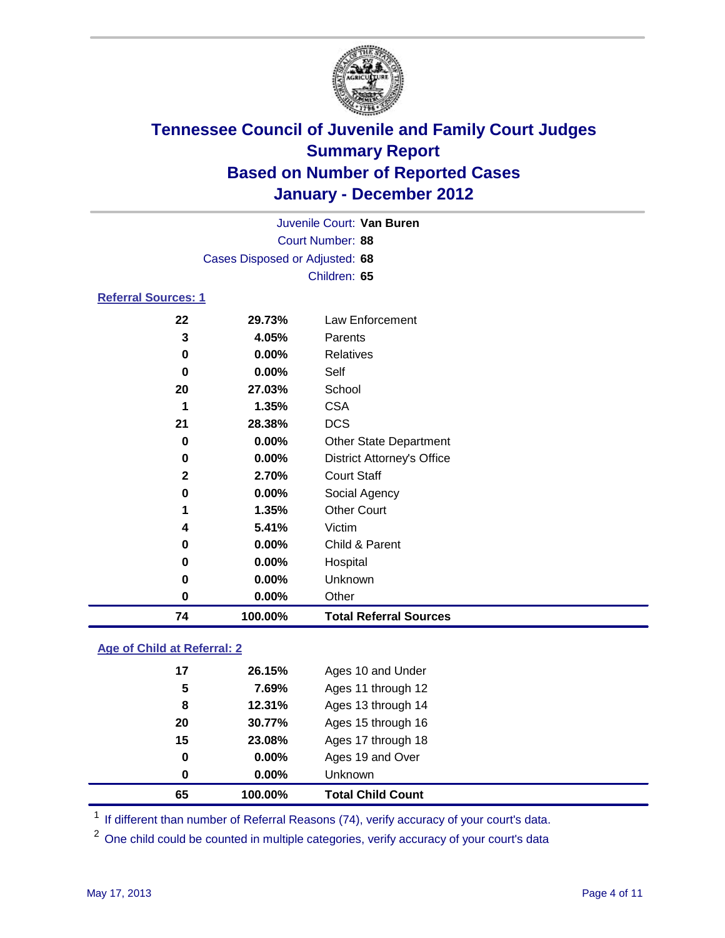

|                            | Juvenile Court: Van Buren      |                                   |  |  |
|----------------------------|--------------------------------|-----------------------------------|--|--|
|                            | Court Number: 88               |                                   |  |  |
|                            | Cases Disposed or Adjusted: 68 |                                   |  |  |
|                            | Children: 65                   |                                   |  |  |
| <b>Referral Sources: 1</b> |                                |                                   |  |  |
| 22                         | 29.73%                         | Law Enforcement                   |  |  |
| 3                          | 4.05%                          | Parents                           |  |  |
| 0                          | 0.00%                          | <b>Relatives</b>                  |  |  |
| 0                          | 0.00%                          | Self                              |  |  |
| 20                         | 27.03%                         | School                            |  |  |
| 1                          | 1.35%                          | <b>CSA</b>                        |  |  |
| 21                         | 28.38%                         | <b>DCS</b>                        |  |  |
| 0                          | 0.00%                          | <b>Other State Department</b>     |  |  |
| 0                          | 0.00%                          | <b>District Attorney's Office</b> |  |  |
| $\mathbf{2}$               | 2.70%                          | <b>Court Staff</b>                |  |  |
| 0                          | 0.00%                          | Social Agency                     |  |  |
| 1                          | 1.35%                          | <b>Other Court</b>                |  |  |
| 4                          | 5.41%                          | Victim                            |  |  |
| 0                          | 0.00%                          | Child & Parent                    |  |  |
| 0                          | 0.00%                          | Hospital                          |  |  |
| 0                          | 0.00%                          | Unknown                           |  |  |
| 0                          | 0.00%                          | Other                             |  |  |
| 74                         | 100.00%                        | <b>Total Referral Sources</b>     |  |  |

### **Age of Child at Referral: 2**

| 65 | 100.00% | <b>Total Child Count</b> |
|----|---------|--------------------------|
| 0  | 0.00%   | <b>Unknown</b>           |
| 0  | 0.00%   | Ages 19 and Over         |
| 15 | 23.08%  | Ages 17 through 18       |
| 20 | 30.77%  | Ages 15 through 16       |
| 8  | 12.31%  | Ages 13 through 14       |
| 5  | 7.69%   | Ages 11 through 12       |
| 17 | 26.15%  | Ages 10 and Under        |
|    |         |                          |

<sup>1</sup> If different than number of Referral Reasons (74), verify accuracy of your court's data.

<sup>2</sup> One child could be counted in multiple categories, verify accuracy of your court's data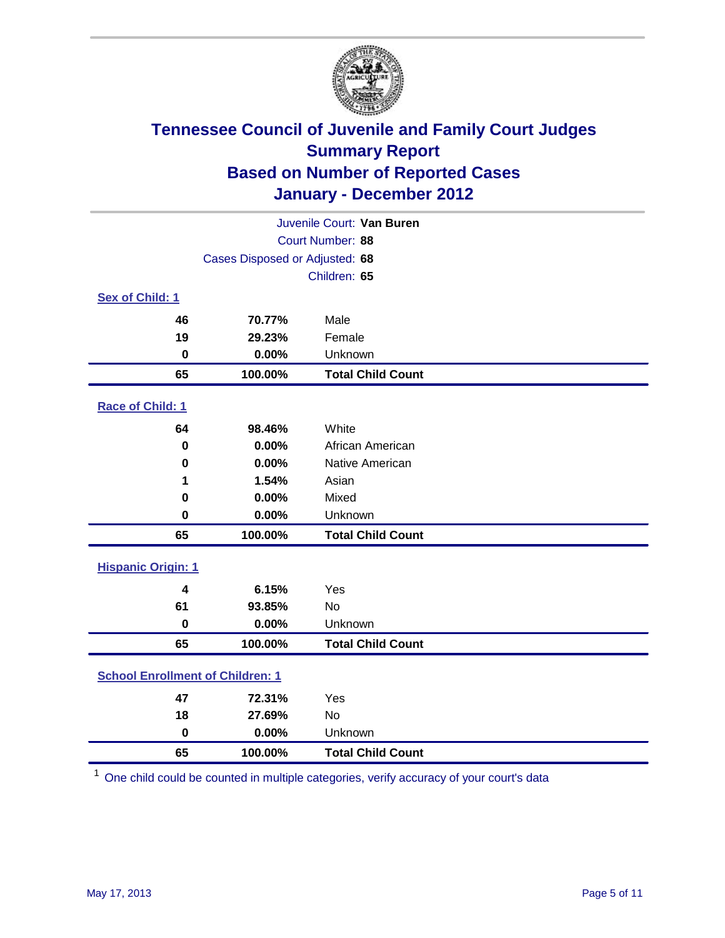

| Juvenile Court: Van Buren               |                                |                          |  |  |
|-----------------------------------------|--------------------------------|--------------------------|--|--|
|                                         | Court Number: 88               |                          |  |  |
|                                         | Cases Disposed or Adjusted: 68 |                          |  |  |
|                                         |                                | Children: 65             |  |  |
| Sex of Child: 1                         |                                |                          |  |  |
| 46                                      | 70.77%                         | Male                     |  |  |
| 19                                      | 29.23%                         | Female                   |  |  |
| 0                                       | 0.00%                          | Unknown                  |  |  |
| 65                                      | 100.00%                        | <b>Total Child Count</b> |  |  |
| Race of Child: 1                        |                                |                          |  |  |
| 64                                      | 98.46%                         | White                    |  |  |
| $\mathbf 0$                             | 0.00%                          | African American         |  |  |
| 0                                       | 0.00%                          | Native American          |  |  |
| 1                                       | 1.54%                          | Asian                    |  |  |
| 0                                       | 0.00%                          | Mixed                    |  |  |
| $\mathbf 0$                             | 0.00%                          | Unknown                  |  |  |
| 65                                      | 100.00%                        | <b>Total Child Count</b> |  |  |
| <b>Hispanic Origin: 1</b>               |                                |                          |  |  |
| 4                                       | 6.15%                          | Yes                      |  |  |
| 61                                      | 93.85%                         | <b>No</b>                |  |  |
| $\mathbf 0$                             | 0.00%                          | Unknown                  |  |  |
| 65                                      | 100.00%                        | <b>Total Child Count</b> |  |  |
| <b>School Enrollment of Children: 1</b> |                                |                          |  |  |
| 47                                      | 72.31%                         | Yes                      |  |  |
| 18                                      | 27.69%                         | No                       |  |  |
| $\mathbf 0$                             | 0.00%                          | Unknown                  |  |  |
| 65                                      | 100.00%                        | <b>Total Child Count</b> |  |  |

One child could be counted in multiple categories, verify accuracy of your court's data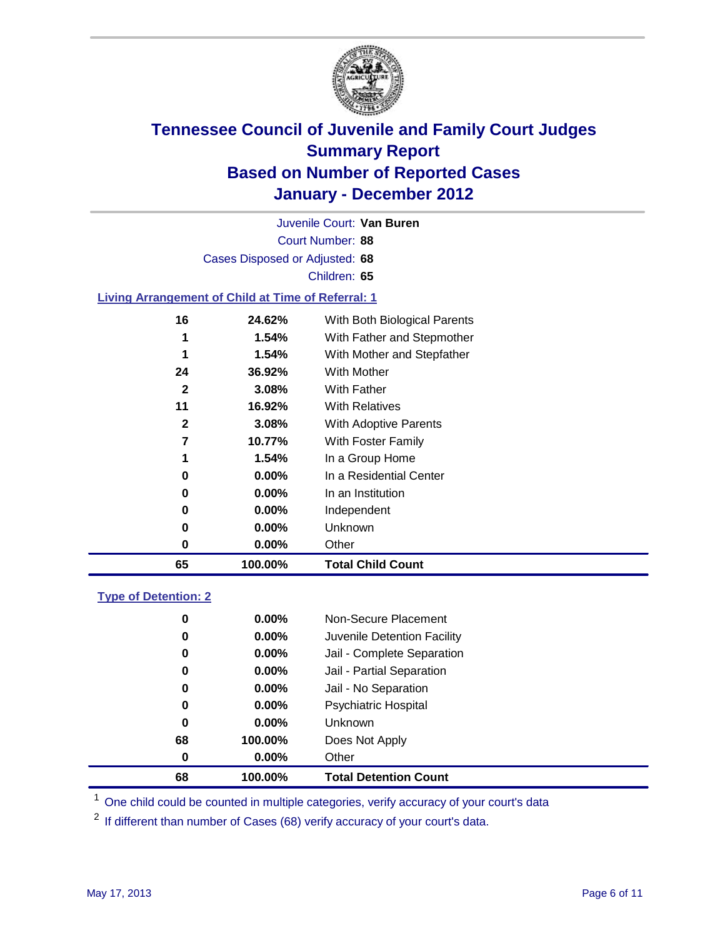

Court Number: **88** Juvenile Court: **Van Buren** Cases Disposed or Adjusted: **68** Children: **65**

#### **Living Arrangement of Child at Time of Referral: 1**

| 65           | 100.00%  | <b>Total Child Count</b>     |
|--------------|----------|------------------------------|
| 0            | 0.00%    | Other                        |
| 0            | 0.00%    | Unknown                      |
| 0            | $0.00\%$ | Independent                  |
| 0            | $0.00\%$ | In an Institution            |
| 0            | $0.00\%$ | In a Residential Center      |
| 1            | 1.54%    | In a Group Home              |
| 7            | 10.77%   | With Foster Family           |
| 2            | 3.08%    | With Adoptive Parents        |
| 11           | 16.92%   | <b>With Relatives</b>        |
| $\mathbf{2}$ | 3.08%    | With Father                  |
| 24           | 36.92%   | With Mother                  |
| 1            | 1.54%    | With Mother and Stepfather   |
| 1            | 1.54%    | With Father and Stepmother   |
| 16           | 24.62%   | With Both Biological Parents |
|              |          |                              |

#### **Type of Detention: 2**

| 68       | 100.00%  | <b>Total Detention Count</b> |
|----------|----------|------------------------------|
| $\bf{0}$ | $0.00\%$ | Other                        |
| 68       | 100.00%  | Does Not Apply               |
| 0        | $0.00\%$ | <b>Unknown</b>               |
| 0        | $0.00\%$ | <b>Psychiatric Hospital</b>  |
| 0        | 0.00%    | Jail - No Separation         |
| 0        | $0.00\%$ | Jail - Partial Separation    |
| 0        | $0.00\%$ | Jail - Complete Separation   |
| 0        | 0.00%    | Juvenile Detention Facility  |
| 0        | $0.00\%$ | Non-Secure Placement         |
|          |          |                              |

<sup>1</sup> One child could be counted in multiple categories, verify accuracy of your court's data

<sup>2</sup> If different than number of Cases (68) verify accuracy of your court's data.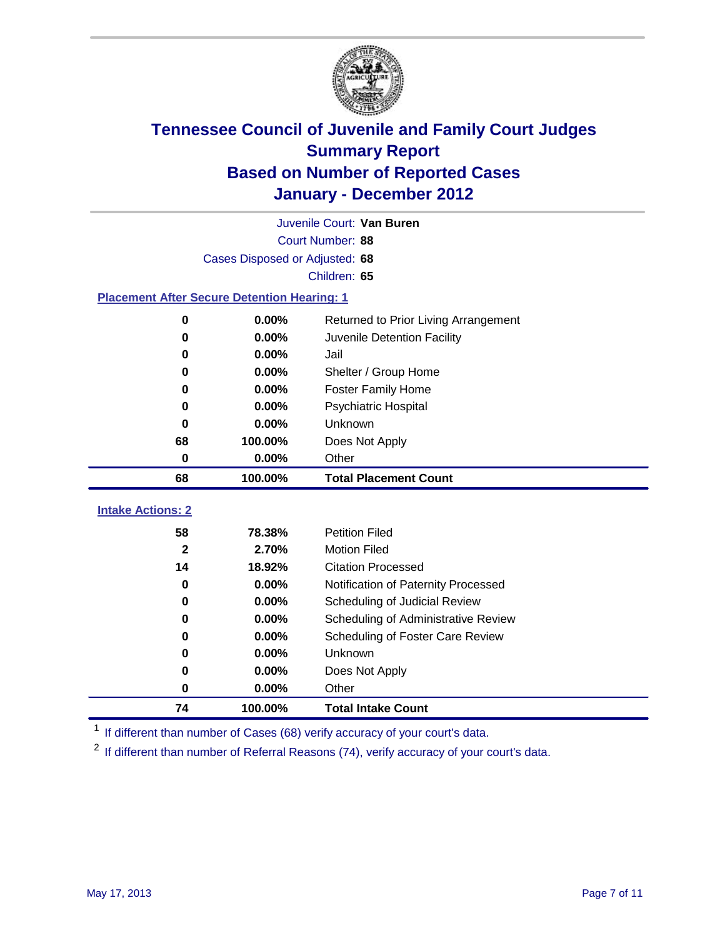

|                                                    | Juvenile Court: Van Buren      |                                      |  |  |  |
|----------------------------------------------------|--------------------------------|--------------------------------------|--|--|--|
|                                                    | Court Number: 88               |                                      |  |  |  |
|                                                    | Cases Disposed or Adjusted: 68 |                                      |  |  |  |
|                                                    |                                | Children: 65                         |  |  |  |
| <b>Placement After Secure Detention Hearing: 1</b> |                                |                                      |  |  |  |
| 0                                                  | 0.00%                          | Returned to Prior Living Arrangement |  |  |  |
| 0                                                  | 0.00%                          | Juvenile Detention Facility          |  |  |  |
| $\bf{0}$                                           | 0.00%                          | Jail                                 |  |  |  |
| 0                                                  | 0.00%                          | Shelter / Group Home                 |  |  |  |
| 0                                                  | 0.00%                          | Foster Family Home                   |  |  |  |
| $\bf{0}$                                           | 0.00%                          | Psychiatric Hospital                 |  |  |  |
| 0                                                  | 0.00%                          | Unknown                              |  |  |  |
| 68                                                 | 100.00%                        | Does Not Apply                       |  |  |  |
| $\mathbf 0$                                        | 0.00%                          | Other                                |  |  |  |
| 68                                                 | 100.00%                        | <b>Total Placement Count</b>         |  |  |  |
| <b>Intake Actions: 2</b>                           |                                |                                      |  |  |  |
|                                                    |                                |                                      |  |  |  |
| 58                                                 | 78.38%                         | <b>Petition Filed</b>                |  |  |  |
| $\mathbf{2}$                                       | 2.70%                          | <b>Motion Filed</b>                  |  |  |  |
| 14                                                 | 18.92%                         | <b>Citation Processed</b>            |  |  |  |
| $\bf{0}$                                           | 0.00%                          | Notification of Paternity Processed  |  |  |  |
| 0                                                  | 0.00%                          | Scheduling of Judicial Review        |  |  |  |
| 0                                                  | 0.00%                          | Scheduling of Administrative Review  |  |  |  |
| 0                                                  | 0.00%                          | Scheduling of Foster Care Review     |  |  |  |
| 0                                                  | 0.00%                          | <b>Unknown</b>                       |  |  |  |
| 0                                                  | 0.00%                          | Does Not Apply                       |  |  |  |
| 0                                                  | 0.00%                          | Other                                |  |  |  |
| 74                                                 | 100.00%                        | <b>Total Intake Count</b>            |  |  |  |

<sup>1</sup> If different than number of Cases (68) verify accuracy of your court's data.

<sup>2</sup> If different than number of Referral Reasons (74), verify accuracy of your court's data.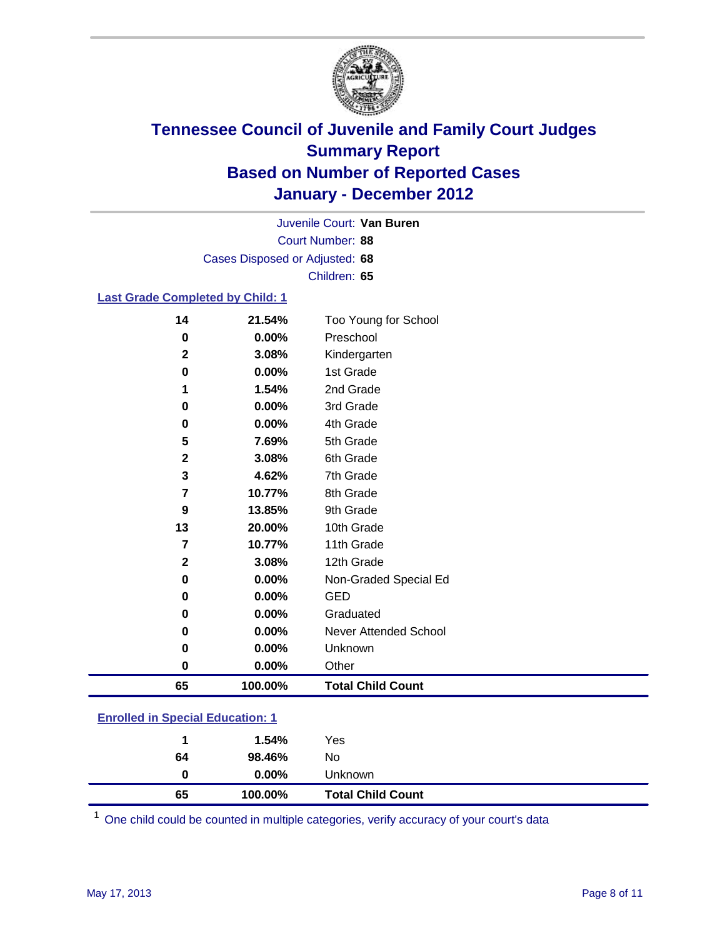

Court Number: **88** Juvenile Court: **Van Buren** Cases Disposed or Adjusted: **68** Children: **65**

#### **Last Grade Completed by Child: 1**

| 14          | 21.54%   | Too Young for School     |
|-------------|----------|--------------------------|
| 0           | 0.00%    | Preschool                |
| $\mathbf 2$ | 3.08%    | Kindergarten             |
| 0           | $0.00\%$ | 1st Grade                |
| 1           | 1.54%    | 2nd Grade                |
| 0           | $0.00\%$ | 3rd Grade                |
| 0           | 0.00%    | 4th Grade                |
| 5           | 7.69%    | 5th Grade                |
| $\mathbf 2$ | 3.08%    | 6th Grade                |
| 3           | 4.62%    | 7th Grade                |
| 7           | 10.77%   | 8th Grade                |
| 9           | 13.85%   | 9th Grade                |
| 13          | 20.00%   | 10th Grade               |
| 7           | 10.77%   | 11th Grade               |
| 2           | 3.08%    | 12th Grade               |
| 0           | 0.00%    | Non-Graded Special Ed    |
| 0           | 0.00%    | <b>GED</b>               |
| 0           | 0.00%    | Graduated                |
| $\pmb{0}$   | 0.00%    | Never Attended School    |
| 0           | 0.00%    | Unknown                  |
| $\pmb{0}$   | 0.00%    | Other                    |
| 65          | 100.00%  | <b>Total Child Count</b> |
|             |          |                          |

### **Enrolled in Special Education: 1**

| 65 | 100.00%  | <b>Total Child Count</b> |
|----|----------|--------------------------|
| 0  | $0.00\%$ | <b>Unknown</b>           |
| 64 | 98.46%   | No                       |
| 1  | 1.54%    | Yes                      |
|    |          |                          |

One child could be counted in multiple categories, verify accuracy of your court's data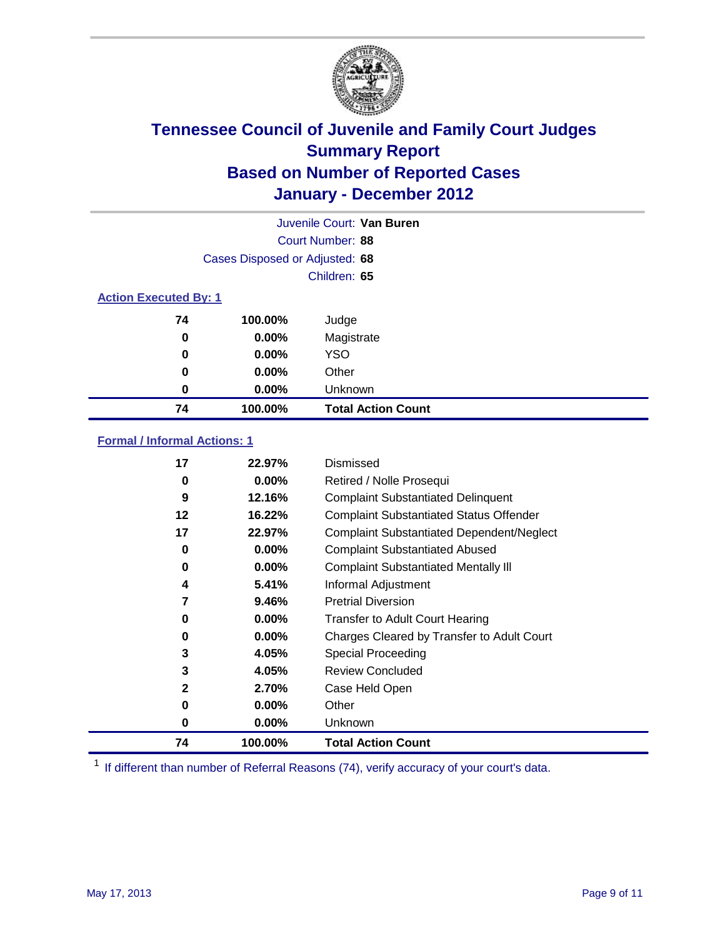

|    | Juvenile Court: Van Buren      |                           |  |  |
|----|--------------------------------|---------------------------|--|--|
|    |                                | Court Number: 88          |  |  |
|    | Cases Disposed or Adjusted: 68 |                           |  |  |
|    |                                | Children: 65              |  |  |
|    | <b>Action Executed By: 1</b>   |                           |  |  |
| 74 | 100.00%                        | Judge                     |  |  |
| 0  | $0.00\%$                       | Magistrate                |  |  |
| 0  | $0.00\%$                       | <b>YSO</b>                |  |  |
| 0  | 0.00%                          | Other                     |  |  |
| 0  | 0.00%                          | Unknown                   |  |  |
| 74 | 100.00%                        | <b>Total Action Count</b> |  |  |

### **Formal / Informal Actions: 1**

| 17 | 22.97%   | Dismissed                                        |
|----|----------|--------------------------------------------------|
| 0  | $0.00\%$ | Retired / Nolle Prosequi                         |
| 9  | 12.16%   | <b>Complaint Substantiated Delinquent</b>        |
| 12 | 16.22%   | <b>Complaint Substantiated Status Offender</b>   |
| 17 | 22.97%   | <b>Complaint Substantiated Dependent/Neglect</b> |
| 0  | 0.00%    | <b>Complaint Substantiated Abused</b>            |
| 0  | $0.00\%$ | <b>Complaint Substantiated Mentally III</b>      |
| 4  | 5.41%    | Informal Adjustment                              |
| 7  | 9.46%    | <b>Pretrial Diversion</b>                        |
| 0  | $0.00\%$ | <b>Transfer to Adult Court Hearing</b>           |
| 0  | $0.00\%$ | Charges Cleared by Transfer to Adult Court       |
| 3  | 4.05%    | Special Proceeding                               |
| 3  | 4.05%    | <b>Review Concluded</b>                          |
| 2  | 2.70%    | Case Held Open                                   |
| 0  | $0.00\%$ | Other                                            |
| 0  | $0.00\%$ | Unknown                                          |
| 74 | 100.00%  | <b>Total Action Count</b>                        |

<sup>1</sup> If different than number of Referral Reasons (74), verify accuracy of your court's data.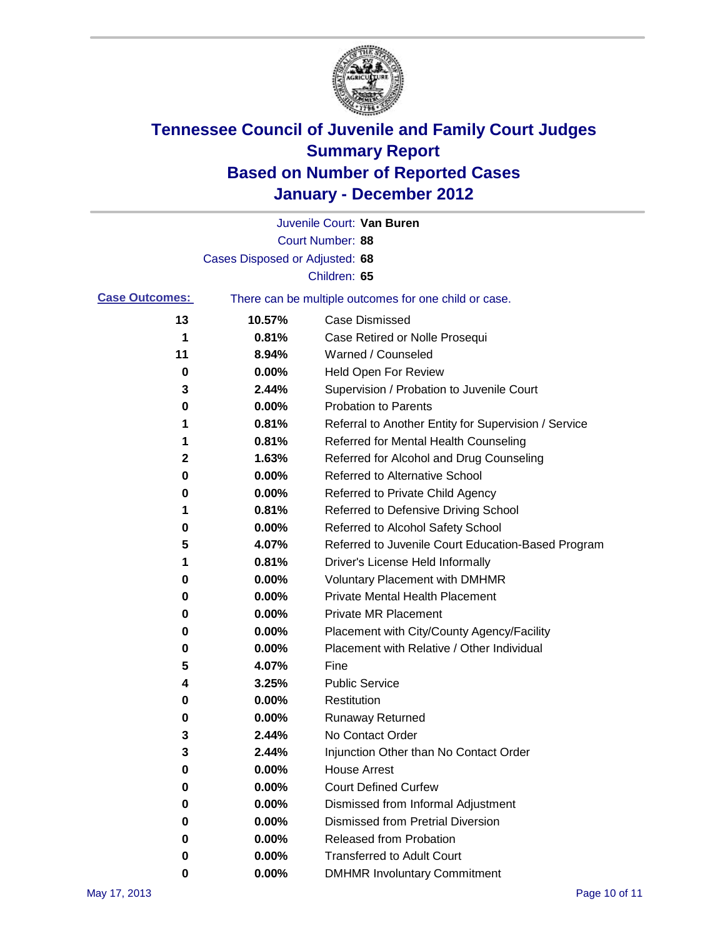

|                       |                                | Juvenile Court: Van Buren                             |
|-----------------------|--------------------------------|-------------------------------------------------------|
|                       |                                | Court Number: 88                                      |
|                       | Cases Disposed or Adjusted: 68 |                                                       |
|                       |                                | Children: 65                                          |
| <b>Case Outcomes:</b> |                                | There can be multiple outcomes for one child or case. |
| 13                    | 10.57%                         | <b>Case Dismissed</b>                                 |
| 1                     | 0.81%                          | Case Retired or Nolle Prosequi                        |
| 11                    | 8.94%                          | Warned / Counseled                                    |
| 0                     | 0.00%                          | <b>Held Open For Review</b>                           |
| 3                     | 2.44%                          | Supervision / Probation to Juvenile Court             |
| 0                     | 0.00%                          | <b>Probation to Parents</b>                           |
| 1                     | 0.81%                          | Referral to Another Entity for Supervision / Service  |
| 1                     | 0.81%                          | Referred for Mental Health Counseling                 |
| 2                     | 1.63%                          | Referred for Alcohol and Drug Counseling              |
| 0                     | 0.00%                          | <b>Referred to Alternative School</b>                 |
| 0                     | 0.00%                          | Referred to Private Child Agency                      |
| 1                     | 0.81%                          | Referred to Defensive Driving School                  |
| 0                     | 0.00%                          | Referred to Alcohol Safety School                     |
| 5                     | 4.07%                          | Referred to Juvenile Court Education-Based Program    |
| 1                     | 0.81%                          | Driver's License Held Informally                      |
| 0                     | 0.00%                          | <b>Voluntary Placement with DMHMR</b>                 |
| 0                     | 0.00%                          | <b>Private Mental Health Placement</b>                |
| 0                     | 0.00%                          | <b>Private MR Placement</b>                           |
| 0                     | 0.00%                          | Placement with City/County Agency/Facility            |
| 0                     | 0.00%                          | Placement with Relative / Other Individual            |
| 5                     | 4.07%                          | Fine                                                  |
| 4                     | 3.25%                          | <b>Public Service</b>                                 |
| 0                     | 0.00%                          | Restitution                                           |
| 0                     | 0.00%                          | <b>Runaway Returned</b>                               |
| 3                     | 2.44%                          | No Contact Order                                      |
| 3                     | 2.44%                          | Injunction Other than No Contact Order                |
| 0                     | 0.00%                          | <b>House Arrest</b>                                   |
| 0                     | 0.00%                          | <b>Court Defined Curfew</b>                           |
| 0                     | 0.00%                          | Dismissed from Informal Adjustment                    |
| 0                     | 0.00%                          | <b>Dismissed from Pretrial Diversion</b>              |
| 0                     | 0.00%                          | Released from Probation                               |
| 0                     | 0.00%                          | <b>Transferred to Adult Court</b>                     |
| 0                     | $0.00\%$                       | <b>DMHMR Involuntary Commitment</b>                   |